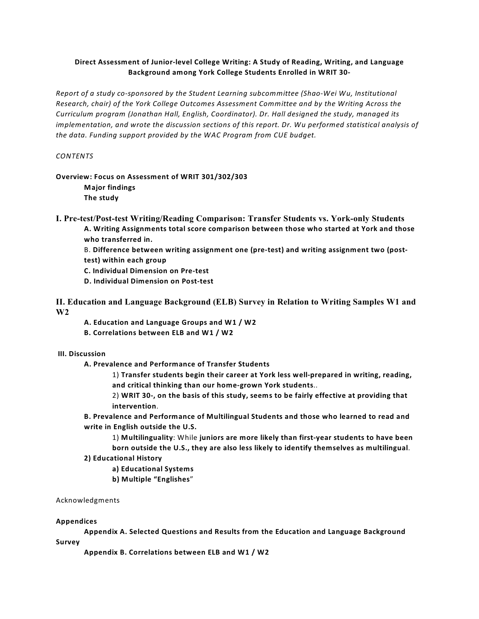# **Direct Assessment of Junior-level College Writing: A Study of Reading, Writing, and Language Background among York College Students Enrolled in WRIT 30-**

*Report of a study co-sponsored by the Student Learning subcommittee (Shao-Wei Wu, Institutional Research, chair) of the York College Outcomes Assessment Committee and by the Writing Across the Curriculum program (Jonathan Hall, English, Coordinator). Dr. Hall designed the study, managed its implementation, and wrote the discussion sections of this report. Dr. Wu performed statistical analysis of the data. Funding support provided by the WAC Program from CUE budget.* 

## *CONTENTS*

### **Overview: Focus on Assessment of WRIT 301/302/303**

**Major findings The study** 

- **I. Pre-test/Post-test Writing/Reading Comparison: Transfer Students vs. York-only Students A. Writing Assignments total score comparison between those who started at York and those who transferred in.** 
	- B. **Difference between writing assignment one (pre-test) and writing assignment two (posttest) within each group**
	- **C. Individual Dimension on Pre-test**
	- **D. Individual Dimension on Post-test**

# **II. Education and Language Background (ELB) Survey in Relation to Writing Samples W1 and W2**

- **A. Education and Language Groups and W1 / W2**
- **B. Correlations between ELB and W1 / W2**

### **III. Discussion**

- **A. Prevalence and Performance of Transfer Students** 
	- 1) **Transfer students begin their career at York less well-prepared in writing, reading, and critical thinking than our home-grown York students**..
	- 2) **WRIT 30-, on the basis of this study, seems to be fairly effective at providing that intervention**.
- **B. Prevalence and Performance of Multilingual Students and those who learned to read and write in English outside the U.S.**

1) **Multilinguality**: While **juniors are more likely than first-year students to have been born outside the U.S., they are also less likely to identify themselves as multilingual**.

### **2) Educational History**

- **a) Educational Systems**
- **b) Multiple "Englishes**"

### Acknowledgments

### **Appendices**

**Appendix A. Selected Questions and Results from the Education and Language Background Survey** 

**Appendix B. Correlations between ELB and W1 / W2**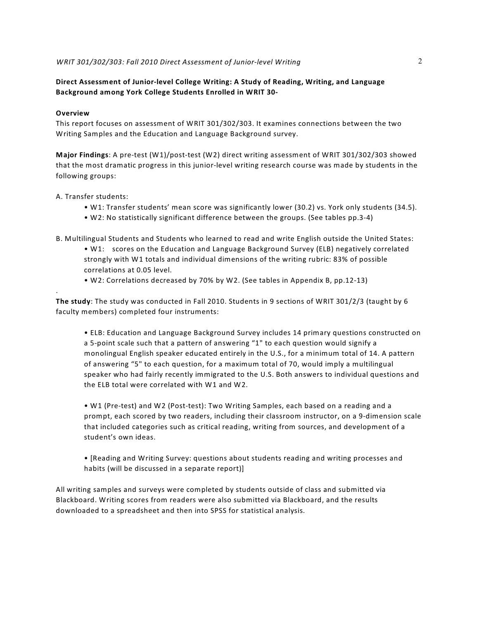**Direct Assessment of Junior-level College Writing: A Study of Reading, Writing, and Language Background among York College Students Enrolled in WRIT 30-**

#### **Overview**

.

This report focuses on assessment of WRIT 301/302/303. It examines connections between the two Writing Samples and the Education and Language Background survey.

**Major Findings**: A pre-test (W1)/post-test (W2) direct writing assessment of WRIT 301/302/303 showed that the most dramatic progress in this junior-level writing research course was made by students in the following groups:

### A. Transfer students:

- W1: Transfer students' mean score was significantly lower (30.2) vs. York only students (34.5).
- W2: No statistically significant difference between the groups. (See tables pp.3-4)
- B. Multilingual Students and Students who learned to read and write English outside the United States:
	- W1: scores on the Education and Language Background Survey (ELB) negatively correlated strongly with W1 totals and individual dimensions of the writing rubric: 83% of possible correlations at 0.05 level.
	- W2: Correlations decreased by 70% by W2. (See tables in Appendix B, pp.12-13)

**The study**: The study was conducted in Fall 2010. Students in 9 sections of WRIT 301/2/3 (taught by 6 faculty members) completed four instruments:

• ELB: Education and Language Background Survey includes 14 primary questions constructed on a 5-point scale such that a pattern of answering "1" to each question would signify a monolingual English speaker educated entirely in the U.S., for a minimum total of 14. A pattern of answering "5" to each question, for a maximum total of 70, would imply a multilingual speaker who had fairly recently immigrated to the U.S. Both answers to individual questions and the ELB total were correlated with W1 and W2.

• W1 (Pre-test) and W2 (Post-test): Two Writing Samples, each based on a reading and a prompt, each scored by two readers, including their classroom instructor, on a 9-dimension scale that included categories such as critical reading, writing from sources, and development of a student's own ideas.

• [Reading and Writing Survey: questions about students reading and writing processes and habits (will be discussed in a separate report)]

All writing samples and surveys were completed by students outside of class and submitted via Blackboard. Writing scores from readers were also submitted via Blackboard, and the results downloaded to a spreadsheet and then into SPSS for statistical analysis.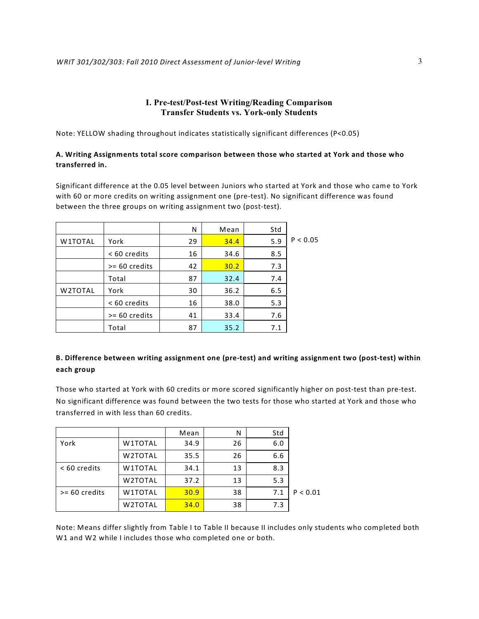## **I. Pre-test/Post-test Writing/Reading Comparison Transfer Students vs. York-only Students**

Note: YELLOW shading throughout indicates statistically significant differences (P<0.05)

## **A. Writing Assignments total score comparison between those who started at York and those who transferred in.**

Significant difference at the 0.05 level between Juniors who started at York and those who came to York with 60 or more credits on writing assignment one (pre-test). No significant difference was found between the three groups on writing assignment two (post-test).

|         |                 | N  | Mean | Std |          |
|---------|-----------------|----|------|-----|----------|
| W1TOTAL | York            | 29 | 34.4 | 5.9 | P < 0.05 |
|         | < 60 credits    | 16 | 34.6 | 8.5 |          |
|         | $>= 60$ credits | 42 | 30.2 | 7.3 |          |
|         | Total           | 87 | 32.4 | 7.4 |          |
| W2TOTAL | York            | 30 | 36.2 | 6.5 |          |
|         | < 60 credits    | 16 | 38.0 | 5.3 |          |
|         | $>= 60$ credits | 41 | 33.4 | 7.6 |          |
|         | Total           | 87 | 35.2 | 7.1 |          |

# **B. Difference between writing assignment one (pre-test) and writing assignment two (post-test) within each group**

Those who started at York with 60 credits or more scored significantly higher on post-test than pre-test. No significant difference was found between the two tests for those who started at York and those who transferred in with less than 60 credits.

|                 |         | Mean | Ν  | Std |          |
|-----------------|---------|------|----|-----|----------|
| York            | W1TOTAL | 34.9 | 26 | 6.0 |          |
|                 | W2TOTAL | 35.5 | 26 | 6.6 |          |
| $< 60$ credits  | W1TOTAL | 34.1 | 13 | 8.3 |          |
|                 | W2TOTAL | 37.2 | 13 | 5.3 |          |
| $>= 60$ credits | W1TOTAL | 30.9 | 38 | 7.1 | P < 0.01 |
|                 | W2TOTAL | 34.0 | 38 | 7.3 |          |

Note: Means differ slightly from Table I to Table II because II includes only students who completed both W1 and W2 while I includes those who completed one or both.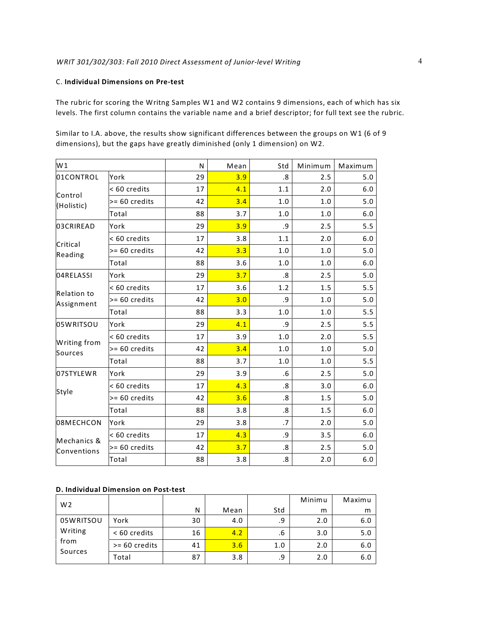# C. **Individual Dimensions on Pre-test**

The rubric for scoring the Writng Samples W1 and W2 contains 9 dimensions, each of which has six levels. The first column contains the variable name and a brief descriptor; for full text see the rubric.

Similar to I.A. above, the results show significant differences between the groups on W1 (6 of 9 dimensions), but the gaps have greatly diminished (only 1 dimension) on W2.

| W1                               |               | N  | Mean | Std               | Minimum | Maximum |
|----------------------------------|---------------|----|------|-------------------|---------|---------|
| 01CONTROL                        | York          | 29 | 3.9  | .8                | 2.5     | 5.0     |
| Control                          | < 60 credits  | 17 | 4.1  | 1.1               | 2.0     | 6.0     |
| (Holistic)                       | >= 60 credits | 42 | 3.4  | 1.0               | 1.0     | 5.0     |
|                                  | Total         | 88 | 3.7  | 1.0               | 1.0     | 6.0     |
| 03CRIREAD                        | York          | 29 | 3.9  | .9                | 2.5     | 5.5     |
|                                  | < 60 credits  | 17 | 3.8  | 1.1               | 2.0     | 6.0     |
| Critical<br>Reading              | >= 60 credits | 42 | 3.3  | 1.0               | 1.0     | 5.0     |
|                                  | Total         | 88 | 3.6  | 1.0               | 1.0     | 6.0     |
| 04RELASSI                        | York          | 29 | 3.7  | $\boldsymbol{.8}$ | 2.5     | 5.0     |
|                                  | < 60 credits  | 17 | 3.6  | 1.2               | 1.5     | 5.5     |
| <b>Relation to</b><br>Assignment | >= 60 credits | 42 | 3.0  | .9                | 1.0     | 5.0     |
|                                  | Total         | 88 | 3.3  | $1.0\,$           | 1.0     | 5.5     |
| 05WRITSOU                        | York          | 29 | 4.1  | .9                | 2.5     | 5.5     |
|                                  | < 60 credits  | 17 | 3.9  | $1.0$             | 2.0     | 5.5     |
| Writing from<br>Sources          | >= 60 credits | 42 | 3.4  | 1.0               | 1.0     | 5.0     |
|                                  | Total         | 88 | 3.7  | 1.0               | 1.0     | 5.5     |
| 07STYLEWR                        | York          | 29 | 3.9  | .6                | 2.5     | 5.0     |
|                                  | < 60 credits  | 17 | 4.3  | .8                | 3.0     | 6.0     |
| Style                            | >= 60 credits | 42 | 3.6  | .8                | 1.5     | 5.0     |
|                                  | Total         | 88 | 3.8  | .8                | 1.5     | 6.0     |
| 08MECHCON                        | York          | 29 | 3.8  | .7                | 2.0     | 5.0     |
|                                  | < 60 credits  | 17 | 4.3  | .9                | 3.5     | 6.0     |
| Mechanics &<br>Conventions       | >= 60 credits | 42 | 3.7  | .8                | 2.5     | 5.0     |
|                                  | Total         | 88 | 3.8  | .8                | 2.0     | 6.0     |

### **D. Individual Dimension on Post-test**

| W <sub>2</sub>             |               |    |      |     | Minimu | Maximu |
|----------------------------|---------------|----|------|-----|--------|--------|
|                            |               | N  | Mean | Std | m      | m      |
| 05WRITSOU                  | York          | 30 | 4.0  | .9  | 2.0    | 6.0    |
| Writing<br>from<br>Sources | < 60 credits  | 16 | 4.2  | .6  | 3.0    | 5.0    |
|                            | >= 60 credits | 41 | 3.6  | 1.0 | 2.0    | 6.0    |
|                            | Total         | 87 | 3.8  | .9  | 2.0    | 6.0    |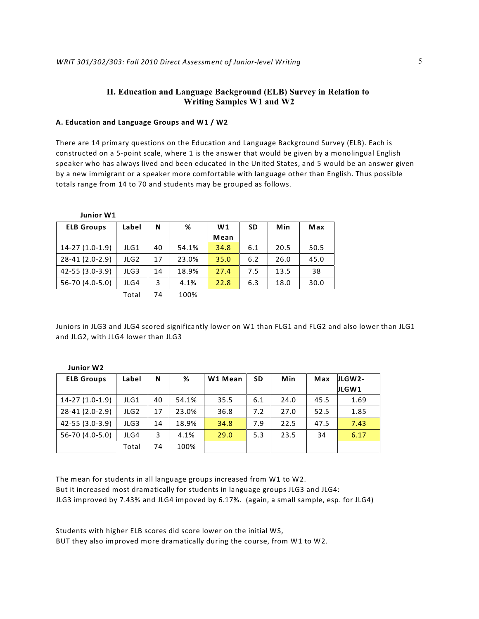# **II. Education and Language Background (ELB) Survey in Relation to Writing Samples W1 and W2**

### **A. Education and Language Groups and W1 / W2**

**Junior W2** 

There are 14 primary questions on the Education and Language Background Survey (ELB). Each is constructed on a 5-point scale, where 1 is the answer that would be given by a monolingual English speaker who has always lived and been educated in the United States, and 5 would be an answer given by a new immigrant or a speaker more comfortable with language other than English. Thus possible totals range from 14 to 70 and students may be grouped as follows.

| Junior W1         |                  |    |       |      |           |      |      |
|-------------------|------------------|----|-------|------|-----------|------|------|
| <b>ELB Groups</b> | Label            | N  | %     | W1   | <b>SD</b> | Min  | Max  |
|                   |                  |    |       | Mean |           |      |      |
| $14-27(1.0-1.9)$  | JLG1             | 40 | 54.1% | 34.8 | 6.1       | 20.5 | 50.5 |
| 28-41 (2.0-2.9)   | JLG <sub>2</sub> | 17 | 23.0% | 35.0 | 6.2       | 26.0 | 45.0 |
| 42-55 (3.0-3.9)   | JLG3             | 14 | 18.9% | 27.4 | 7.5       | 13.5 | 38   |
| 56-70 (4.0-5.0)   | JLG4             | 3  | 4.1%  | 22.8 | 6.3       | 18.0 | 30.0 |
|                   | Total            | 74 | 100%  |      |           |      |      |

Juniors in JLG3 and JLG4 scored significantly lower on W1 than FLG1 and FLG2 and also lower than JLG1 and JLG2, with JLG4 lower than JLG3

| <b>ELB Groups</b> | Label            | N  | %     | W1 Mean | <b>SD</b> | Min  | Max  | JLGW2- |
|-------------------|------------------|----|-------|---------|-----------|------|------|--------|
|                   |                  |    |       |         |           |      |      | JLGW1  |
| $14-27(1.0-1.9)$  | JLG1             | 40 | 54.1% | 35.5    | 6.1       | 24.0 | 45.5 | 1.69   |
| 28-41 (2.0-2.9)   | JLG <sub>2</sub> | 17 | 23.0% | 36.8    | 7.2       | 27.0 | 52.5 | 1.85   |
| 42-55 (3.0-3.9)   | JLG3             | 14 | 18.9% | 34.8    | 7.9       | 22.5 | 47.5 | 7.43   |
| 56-70 (4.0-5.0)   | JLG4             | 3  | 4.1%  | 29.0    | 5.3       | 23.5 | 34   | 6.17   |
|                   | Total            | 74 | 100%  |         |           |      |      |        |

The mean for students in all language groups increased from W1 to W2. But it increased most dramatically for students in language groups JLG3 and JLG4: JLG3 improved by 7.43% and JLG4 impoved by 6.17%. (again, a small sample, esp. for JLG4)

Students with higher ELB scores did score lower on the initial WS, BUT they also improved more dramatically during the course, from W1 to W2.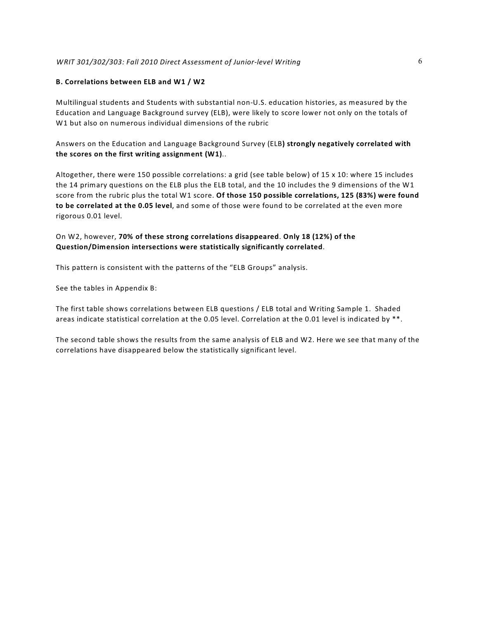### *WRIT 301/302/303: Fall 2010 Direct Assessment of Junior-level Writing* 6

### **B. Correlations between ELB and W1 / W2**

Multilingual students and Students with substantial non-U.S. education histories, as measured by the Education and Language Background survey (ELB), were likely to score lower not only on the totals of W1 but also on numerous individual dimensions of the rubric

Answers on the Education and Language Background Survey (ELB**) strongly negatively correlated with the scores on the first writing assignment (W1)**..

Altogether, there were 150 possible correlations: a grid (see table below) of 15 x 10: where 15 includes the 14 primary questions on the ELB plus the ELB total, and the 10 includes the 9 dimensions of the W1 score from the rubric plus the total W1 score. **Of those 150 possible correlations, 125 (83%) were found to be correlated at the 0.05 level**, and some of those were found to be correlated at the even more rigorous 0.01 level.

## On W2, however, **70% of these strong correlations disappeared**. **Only 18 (12%) of the Question/Dimension intersections were statistically significantly correlated**.

This pattern is consistent with the patterns of the "ELB Groups" analysis.

See the tables in Appendix B:

The first table shows correlations between ELB questions / ELB total and Writing Sample 1. Shaded areas indicate statistical correlation at the 0.05 level. Correlation at the 0.01 level is indicated by \*\*.

The second table shows the results from the same analysis of ELB and W2. Here we see that many of the correlations have disappeared below the statistically significant level.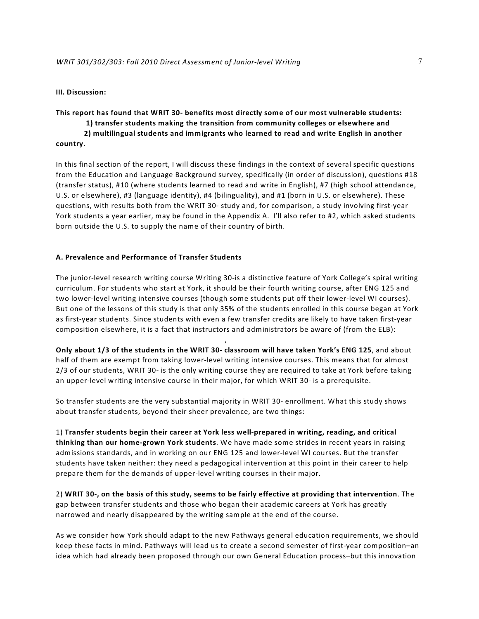# **III. Discussion:**

# **This report has found that WRIT 30- benefits most directly some of our most vulnerable students: 1) transfer students making the transition from community colleges or elsewhere and 2) multilingual students and immigrants who learned to read and write English in another country.**

In this final section of the report, I will discuss these findings in the context of several specific questions from the Education and Language Background survey, specifically (in order of discussion), questions #18 (transfer status), #10 (where students learned to read and write in English), #7 (high school attendance, U.S. or elsewhere), #3 (language identity), #4 (bilinguality), and #1 (born in U.S. or elsewhere). These questions, with results both from the WRIT 30- study and, for comparison, a study involving first-year York students a year earlier, may be found in the Appendix A. I'll also refer to #2, which asked students born outside the U.S. to supply the name of their country of birth.

### **A. Prevalence and Performance of Transfer Students**

The junior-level research writing course Writing 30-is a distinctive feature of York College's spiral writing curriculum. For students who start at York, it should be their fourth writing course, after ENG 125 and two lower-level writing intensive courses (though some students put off their lower-level WI courses). But one of the lessons of this study is that only 35% of the students enrolled in this course began at York as first-year students. Since students with even a few transfer credits are likely to have taken first-year composition elsewhere, it is a fact that instructors and administrators be aware of (from the ELB):

**Only about 1/3 of the students in the WRIT 30- classroom will have taken York's ENG 125**, and about half of them are exempt from taking lower-level writing intensive courses. This means that for almost 2/3 of our students, WRIT 30- is the only writing course they are required to take at York before taking an upper-level writing intensive course in their major, for which WRIT 30- is a prerequisite.

,

So transfer students are the very substantial majority in WRIT 30- enrollment. What this study shows about transfer students, beyond their sheer prevalence, are two things:

1) **Transfer students begin their career at York less well-prepared in writing, reading, and critical thinking than our home-grown York students**. We have made some strides in recent years in raising admissions standards, and in working on our ENG 125 and lower-level WI courses. But the transfer students have taken neither: they need a pedagogical intervention at this point in their career to help prepare them for the demands of upper-level writing courses in their major.

2) **WRIT 30-, on the basis of this study, seems to be fairly effective at providing that intervention**. The gap between transfer students and those who began their academic careers at York has greatly narrowed and nearly disappeared by the writing sample at the end of the course.

As we consider how York should adapt to the new Pathways general education requirements, we should keep these facts in mind. Pathways will lead us to create a second semester of first-year composition–an idea which had already been proposed through our own General Education process–but this innovation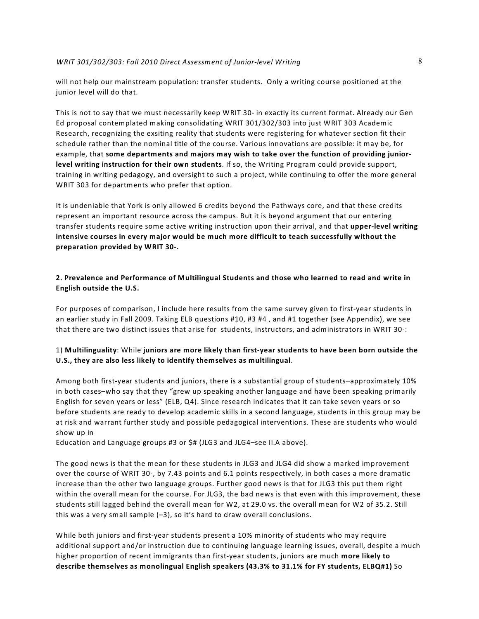### *WRIT 301/302/303: Fall 2010 Direct Assessment of Junior-level Writing* 8

will not help our mainstream population: transfer students. Only a writing course positioned at the junior level will do that.

This is not to say that we must necessarily keep WRIT 30- in exactly its current format. Already our Gen Ed proposal contemplated making consolidating WRIT 301/302/303 into just WRIT 303 Academic Research, recognizing the exsiting reality that students were registering for whatever section fit their schedule rather than the nominal title of the course. Various innovations are possible: it may be, for example, that **some departments and majors may wish to take over the function of providing juniorlevel writing instruction for their own students**. If so, the Writing Program could provide support, training in writing pedagogy, and oversight to such a project, while continuing to offer the more general WRIT 303 for departments who prefer that option.

It is undeniable that York is only allowed 6 credits beyond the Pathways core, and that these credits represent an important resource across the campus. But it is beyond argument that our entering transfer students require some active writing instruction upon their arrival, and that **upper-level writing intensive courses in every major would be much more difficult to teach successfully without the preparation provided by WRIT 30-.** 

## **2. Prevalence and Performance of Multilingual Students and those who learned to read and write in English outside the U.S.**

For purposes of comparison, I include here results from the same survey given to first-year students in an earlier study in Fall 2009. Taking ELB questions #10, #3 #4 , and #1 together (see Appendix), we see that there are two distinct issues that arise for students, instructors, and administrators in WRIT 30-:

## 1) **Multilinguality**: While **juniors are more likely than first-year students to have been born outside the U.S., they are also less likely to identify themselves as multilingual**.

Among both first-year students and juniors, there is a substantial group of students–approximately 10% in both cases–who say that they "grew up speaking another language and have been speaking primarily English for seven years or less" (ELB, Q4). Since research indicates that it can take seven years or so before students are ready to develop academic skills in a second language, students in this group may be at risk and warrant further study and possible pedagogical interventions. These are students who would show up in

Education and Language groups #3 or \$# (JLG3 and JLG4–see II.A above).

The good news is that the mean for these students in JLG3 and JLG4 did show a marked improvement over the course of WRIT 30-, by 7.43 points and 6.1 points respectively, in both cases a more dramatic increase than the other two language groups. Further good news is that for JLG3 this put them right within the overall mean for the course. For JLG3, the bad news is that even with this improvement, these students still lagged behind the overall mean for W2, at 29.0 vs. the overall mean for W2 of 35.2. Still this was a very small sample (–3), so it's hard to draw overall conclusions.

While both juniors and first-year students present a 10% minority of students who may require additional support and/or instruction due to continuing language learning issues, overall, despite a much higher proportion of recent immigrants than first-year students, juniors are much **more likely to describe themselves as monolingual English speakers (43.3% to 31.1% for FY students, ELBQ#1)** So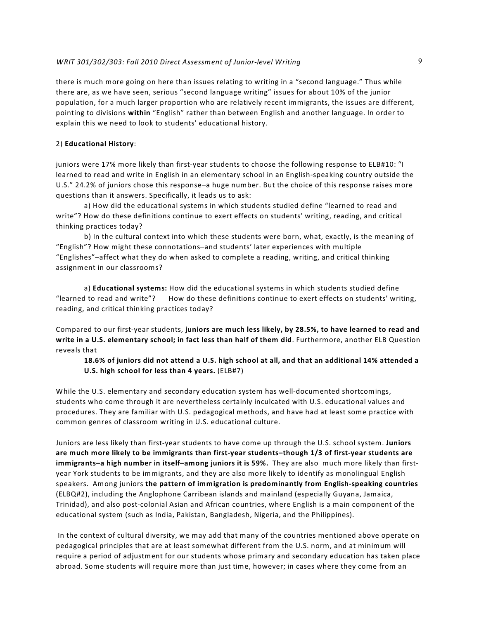## *WRIT 301/302/303: Fall 2010 Direct Assessment of Junior-level Writing* 9

there is much more going on here than issues relating to writing in a "second language." Thus while there are, as we have seen, serious "second language writing" issues for about 10% of the junior population, for a much larger proportion who are relatively recent immigrants, the issues are different, pointing to divisions **within** "English" rather than between English and another language. In order to explain this we need to look to students' educational history.

### 2) **Educational History**:

juniors were 17% more likely than first-year students to choose the following response to ELB#10: "I learned to read and write in English in an elementary school in an English-speaking country outside the U.S." 24.2% of juniors chose this response–a huge number. But the choice of this response raises more questions than it answers. Specifically, it leads us to ask:

a) How did the educational systems in which students studied define "learned to read and write"? How do these definitions continue to exert effects on students' writing, reading, and critical thinking practices today?

b) In the cultural context into which these students were born, what, exactly, is the meaning of "English"? How might these connotations–and students' later experiences with multiple "Englishes"–affect what they do when asked to complete a reading, writing, and critical thinking assignment in our classrooms?

a) **Educational systems:** How did the educational systems in which students studied define "learned to read and write"? How do these definitions continue to exert effects on students' writing, reading, and critical thinking practices today?

Compared to our first-year students, **juniors are much less likely, by 28.5%, to have learned to read and write in a U.S. elementary school; in fact less than half of them did**. Furthermore, another ELB Question reveals that

**18.6% of juniors did not attend a U.S. high school at all, and that an additional 14% attended a U.S. high school for less than 4 years.** (ELB#7)

While the U.S. elementary and secondary education system has well-documented shortcomings, students who come through it are nevertheless certainly inculcated with U.S. educational values and procedures. They are familiar with U.S. pedagogical methods, and have had at least some practice with common genres of classroom writing in U.S. educational culture.

Juniors are less likely than first-year students to have come up through the U.S. school system. **Juniors are much more likely to be immigrants than first-year students–though 1/3 of first-year students are immigrants–a high number in itself–among juniors it is 59%.** They are also much more likely than firstyear York students to be immigrants, and they are also more likely to identify as monolingual English speakers. Among juniors **the pattern of immigration is predominantly from English-speaking countries**  (ELBQ#2), including the Anglophone Carribean islands and mainland (especially Guyana, Jamaica, Trinidad), and also post-colonial Asian and African countries, where English is a main component of the educational system (such as India, Pakistan, Bangladesh, Nigeria, and the Philippines).

 In the context of cultural diversity, we may add that many of the countries mentioned above operate on pedagogical principles that are at least somewhat different from the U.S. norm, and at minimum will require a period of adjustment for our students whose primary and secondary education has taken place abroad. Some students will require more than just time, however; in cases where they come from an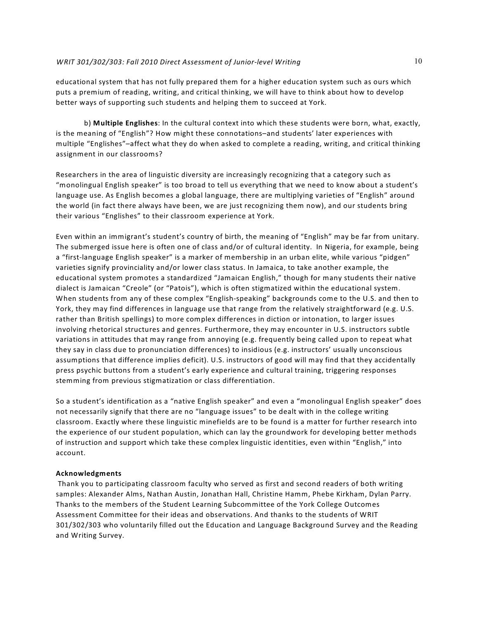educational system that has not fully prepared them for a higher education system such as ours which puts a premium of reading, writing, and critical thinking, we will have to think about how to develop better ways of supporting such students and helping them to succeed at York.

b) **Multiple Englishes**: In the cultural context into which these students were born, what, exactly, is the meaning of "English"? How might these connotations–and students' later experiences with multiple "Englishes"–affect what they do when asked to complete a reading, writing, and critical thinking assignment in our classrooms?

Researchers in the area of linguistic diversity are increasingly recognizing that a category such as "monolingual English speaker" is too broad to tell us everything that we need to know about a student's language use. As English becomes a global language, there are multiplying varieties of "English" around the world (in fact there always have been, we are just recognizing them now), and our students bring their various "Englishes" to their classroom experience at York.

Even within an immigrant's student's country of birth, the meaning of "English" may be far from unitary. The submerged issue here is often one of class and/or of cultural identity. In Nigeria, for example, being a "first-language English speaker" is a marker of membership in an urban elite, while various "pidgen" varieties signify provinciality and/or lower class status. In Jamaica, to take another example, the educational system promotes a standardized "Jamaican English," though for many students their native dialect is Jamaican "Creole" (or "Patois"), which is often stigmatized within the educational system. When students from any of these complex "English-speaking" backgrounds come to the U.S. and then to York, they may find differences in language use that range from the relatively straightforward (e.g. U.S. rather than British spellings) to more complex differences in diction or intonation, to larger issues involving rhetorical structures and genres. Furthermore, they may encounter in U.S. instructors subtle variations in attitudes that may range from annoying (e.g. frequently being called upon to repeat what they say in class due to pronunciation differences) to insidious (e.g. instructors' usually unconscious assumptions that difference implies deficit). U.S. instructors of good will may find that they accidentally press psychic buttons from a student's early experience and cultural training, triggering responses stemming from previous stigmatization or class differentiation.

So a student's identification as a "native English speaker" and even a "monolingual English speaker" does not necessarily signify that there are no "language issues" to be dealt with in the college writing classroom. Exactly where these linguistic minefields are to be found is a matter for further research into the experience of our student population, which can lay the groundwork for developing better methods of instruction and support which take these complex linguistic identities, even within "English," into account.

### **Acknowledgments**

 Thank you to participating classroom faculty who served as first and second readers of both writing samples: Alexander Alms, Nathan Austin, Jonathan Hall, Christine Hamm, Phebe Kirkham, Dylan Parry. Thanks to the members of the Student Learning Subcommittee of the York College Outcomes Assessment Committee for their ideas and observations. And thanks to the students of WRIT 301/302/303 who voluntarily filled out the Education and Language Background Survey and the Reading and Writing Survey.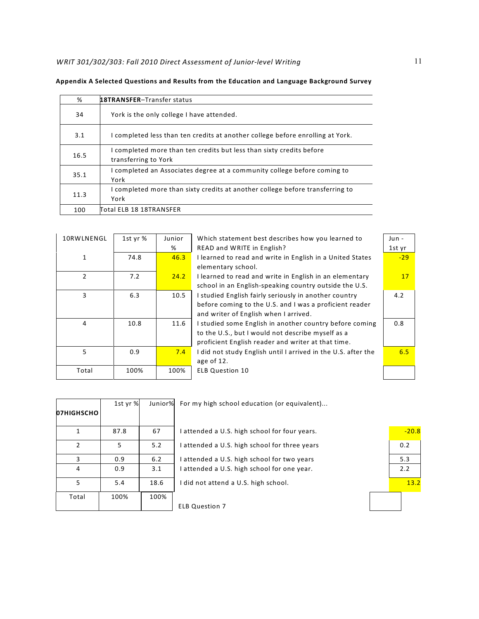| %    | 18TRANSFER-Transfer status                                                                   |
|------|----------------------------------------------------------------------------------------------|
| 34   | York is the only college I have attended.                                                    |
| 3.1  | I completed less than ten credits at another college before enrolling at York.               |
| 16.5 | I completed more than ten credits but less than sixty credits before<br>transferring to York |
| 35.1 | I completed an Associates degree at a community college before coming to<br>York             |
| 11.3 | I completed more than sixty credits at another college before transferring to<br>York        |
| 100  | Total ELB 18 18TRANSFER                                                                      |

|  |  |  |  | Appendix A Selected Questions and Results from the Education and Language Background Survey |  |
|--|--|--|--|---------------------------------------------------------------------------------------------|--|
|--|--|--|--|---------------------------------------------------------------------------------------------|--|

| 10RWLNENGL   | 1st yr % | Junior | Which statement best describes how you learned to             | Jun -  |
|--------------|----------|--------|---------------------------------------------------------------|--------|
|              |          | %      | READ and WRITE in English?                                    | 1st yr |
| $\mathbf{1}$ | 74.8     | 46.3   | I learned to read and write in English in a United States     | $-29$  |
|              |          |        | elementary school.                                            |        |
| 2            | 7.2      | 24.2   | I learned to read and write in English in an elementary       | 17     |
|              |          |        | school in an English-speaking country outside the U.S.        |        |
| 3            | 6.3      | 10.5   | I studied English fairly seriously in another country         | 4.2    |
|              |          |        | before coming to the U.S. and I was a proficient reader       |        |
|              |          |        | and writer of English when I arrived.                         |        |
| 4            | 10.8     | 11.6   | I studied some English in another country before coming       | 0.8    |
|              |          |        | to the U.S., but I would not describe myself as a             |        |
|              |          |        | proficient English reader and writer at that time.            |        |
| 5            | 0.9      | 7.4    | I did not study English until I arrived in the U.S. after the | 6.5    |
|              |          |        | age of 12.                                                    |        |
| Total        | 100%     | 100%   | <b>ELB Question 10</b>                                        |        |
|              |          |        |                                                               |        |

| 07HIGHSCHO     | 1st yr % | Junior% |
|----------------|----------|---------|
| 1              | 87.8     | 67      |
| $\overline{2}$ | 5        | 5.2     |
| 3              | 0.9      | 6.2     |
| 4              | 0.9      | 3.1     |
| 5              | 5.4      | 18.6    |
| Total          | 100%     | 100%    |

For my high school education (or equivalent)...

| 1              | 87.8 | 67   | attended a U.S. high school for four years. | $-20.8$ |
|----------------|------|------|---------------------------------------------|---------|
| $\overline{2}$ |      | 5.2  | attended a U.S. high school for three years | 0.2     |
| 3              | 0.9  | 6.2  | attended a U.S. high school for two years   | 5.3     |
| 4              | 0.9  | 3.1  | attended a U.S. high school for one year.   | 2.2     |
| 5              | 5.4  | 18.6 | did not attend a U.S. high school.          | 13.2    |

ELB Question 7